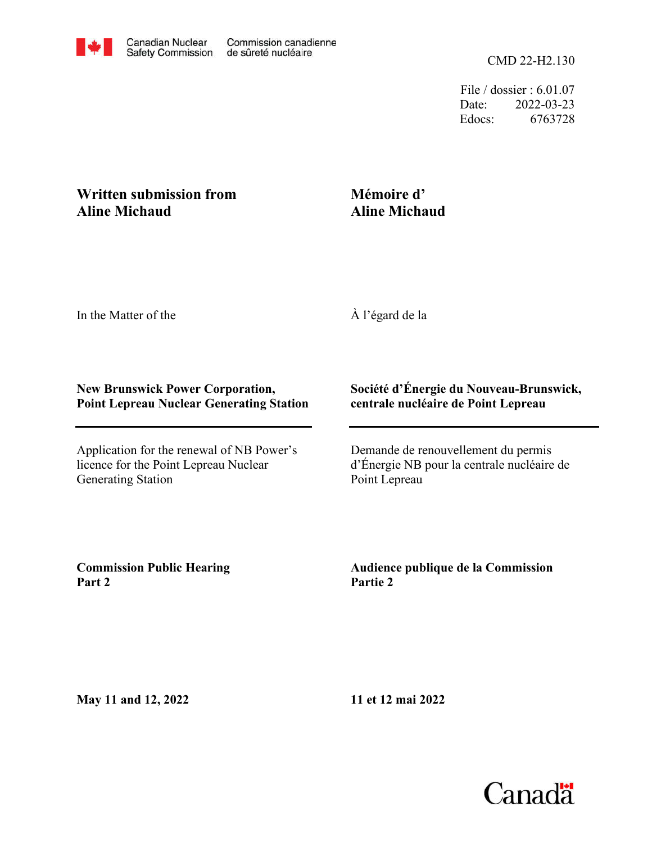File / dossier : 6.01.07 Date: 2022-03-23 Edocs: 6763728

## **Written submission from Aline Michaud**

## **Mémoire d' Aline Michaud**

In the Matter of the

À l'égard de la

## **New Brunswick Power Corporation, Point Lepreau Nuclear Generating Station**

Application for the renewal of NB Power's licence for the Point Lepreau Nuclear Generating Station

## **Société d'Énergie du Nouveau-Brunswick, centrale nucléaire de Point Lepreau**

Demande de renouvellement du permis d'Énergie NB pour la centrale nucléaire de Point Lepreau

**Commission Public Hearing Part 2**

**Audience publique de la Commission Partie 2**

**May 11 and 12, 2022**

**11 et 12 mai 2022**